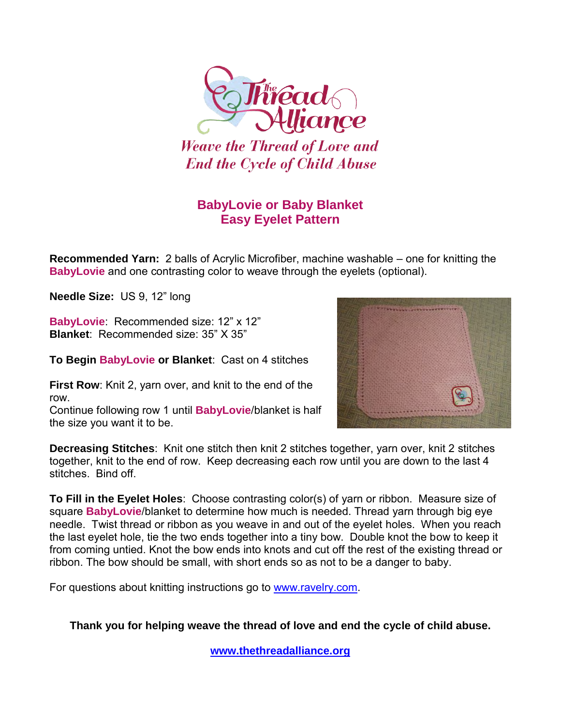

**Weave the Thread of Love and End the Cycle of Child Abuse** 

# **BabyLovie or Baby Blanket Easy Eyelet Pattern**

**Recommended Yarn:** 2 balls of Acrylic Microfiber, machine washable – one for knitting the **BabyLovie** and one contrasting color to weave through the eyelets (optional).

**Needle Size:** US 9, 12" long

**BabyLovie**: Recommended size: 12" x 12" **Blanket**: Recommended size: 35" X 35"

**To Begin BabyLovie or Blanket**: Cast on 4 stitches

**First Row**: Knit 2, yarn over, and knit to the end of the row.

Continue following row 1 until **BabyLovie**/blanket is half the size you want it to be.



**Decreasing Stitches**: Knit one stitch then knit 2 stitches together, yarn over, knit 2 stitches together, knit to the end of row. Keep decreasing each row until you are down to the last 4 stitches. Bind off.

**To Fill in the Eyelet Holes**: Choose contrasting color(s) of yarn or ribbon. Measure size of square **BabyLovie**/blanket to determine how much is needed. Thread yarn through big eye needle. Twist thread or ribbon as you weave in and out of the eyelet holes. When you reach the last eyelet hole, tie the two ends together into a tiny bow. Double knot the bow to keep it from coming untied. Knot the bow ends into knots and cut off the rest of the existing thread or ribbon. The bow should be small, with short ends so as not to be a danger to baby.

For questions about knitting instructions go to [www.ravelry.com.](http://www.ravelry.com/)

**Thank you for helping weave the thread of love and end the cycle of child abuse.** 

**[www.thethreadalliance.org](http://www.thethreadalliance.org/)**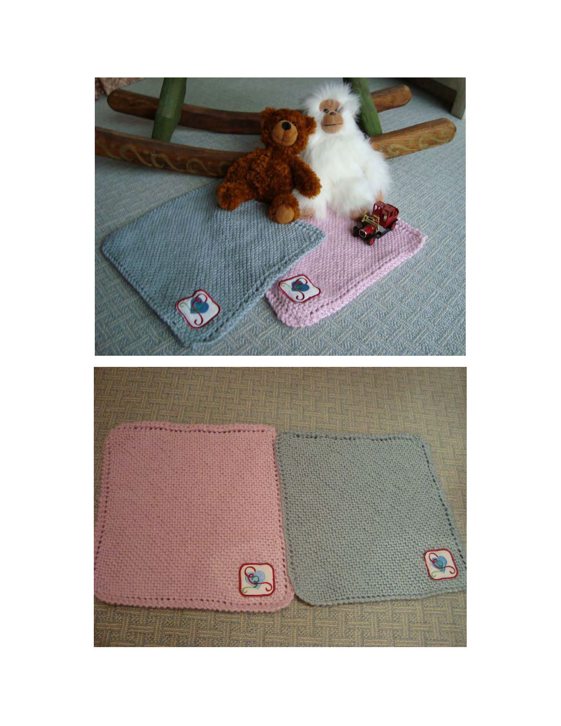